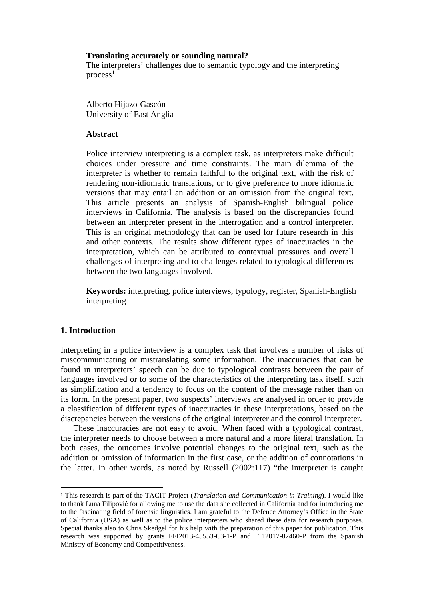#### **Translating accurately or sounding natural?**

The interpreters' challenges due to semantic typology and the interpreting  $\text{process}^1$ 

Alberto Hijazo-Gascón University of East Anglia

## **Abstract**

Police interview interpreting is a complex task, as interpreters make difficult choices under pressure and time constraints. The main dilemma of the interpreter is whether to remain faithful to the original text, with the risk of rendering non-idiomatic translations, or to give preference to more idiomatic versions that may entail an addition or an omission from the original text. This article presents an analysis of Spanish-English bilingual police interviews in California. The analysis is based on the discrepancies found between an interpreter present in the interrogation and a control interpreter. This is an original methodology that can be used for future research in this and other contexts. The results show different types of inaccuracies in the interpretation, which can be attributed to contextual pressures and overall challenges of interpreting and to challenges related to typological differences between the two languages involved.

**Keywords:** interpreting, police interviews, typology, register, Spanish-English interpreting

# **1. Introduction**

 $\overline{a}$ 

Interpreting in a police interview is a complex task that involves a number of risks of miscommunicating or mistranslating some information. The inaccuracies that can be found in interpreters' speech can be due to typological contrasts between the pair of languages involved or to some of the characteristics of the interpreting task itself, such as simplification and a tendency to focus on the content of the message rather than on its form. In the present paper, two suspects' interviews are analysed in order to provide a classification of different types of inaccuracies in these interpretations, based on the discrepancies between the versions of the original interpreter and the control interpreter.

These inaccuracies are not easy to avoid. When faced with a typological contrast, the interpreter needs to choose between a more natural and a more literal translation. In both cases, the outcomes involve potential changes to the original text, such as the addition or omission of information in the first case, or the addition of connotations in the latter. In other words, as noted by Russell (2002:117) "the interpreter is caught

<sup>1</sup> This research is part of the TACIT Project (*Translation and Communication in Training*). I would like to thank Luna Filipović for allowing me to use the data she collected in California and for introducing me to the fascinating field of forensic linguistics. I am grateful to the Defence Attorney's Office in the State of California (USA) as well as to the police interpreters who shared these data for research purposes. Special thanks also to Chris Skedgel for his help with the preparation of this paper for publication. This research was supported by grants FFI2013-45553-C3-1-P and FFI2017-82460-P from the Spanish Ministry of Economy and Competitiveness.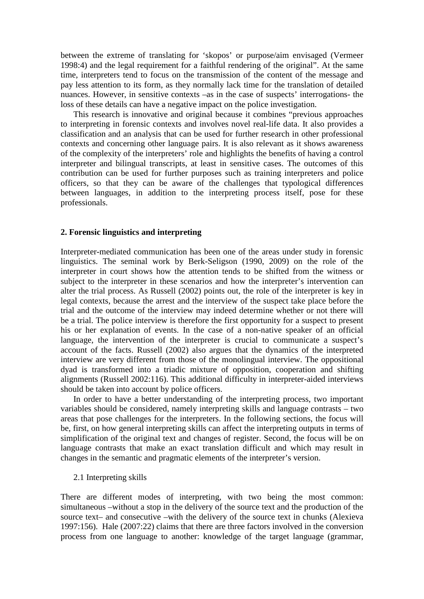between the extreme of translating for 'skopos' or purpose/aim envisaged (Vermeer 1998:4) and the legal requirement for a faithful rendering of the original". At the same time, interpreters tend to focus on the transmission of the content of the message and pay less attention to its form, as they normally lack time for the translation of detailed nuances. However, in sensitive contexts –as in the case of suspects' interrogations- the loss of these details can have a negative impact on the police investigation.

This research is innovative and original because it combines "previous approaches to interpreting in forensic contexts and involves novel real-life data. It also provides a classification and an analysis that can be used for further research in other professional contexts and concerning other language pairs. It is also relevant as it shows awareness of the complexity of the interpreters' role and highlights the benefits of having a control interpreter and bilingual transcripts, at least in sensitive cases. The outcomes of this contribution can be used for further purposes such as training interpreters and police officers, so that they can be aware of the challenges that typological differences between languages, in addition to the interpreting process itself, pose for these professionals.

#### **2. Forensic linguistics and interpreting**

Interpreter-mediated communication has been one of the areas under study in forensic linguistics. The seminal work by Berk-Seligson (1990, 2009) on the role of the interpreter in court shows how the attention tends to be shifted from the witness or subject to the interpreter in these scenarios and how the interpreter's intervention can alter the trial process. As Russell (2002) points out, the role of the interpreter is key in legal contexts, because the arrest and the interview of the suspect take place before the trial and the outcome of the interview may indeed determine whether or not there will be a trial. The police interview is therefore the first opportunity for a suspect to present his or her explanation of events. In the case of a non-native speaker of an official language, the intervention of the interpreter is crucial to communicate a suspect's account of the facts. Russell (2002) also argues that the dynamics of the interpreted interview are very different from those of the monolingual interview. The oppositional dyad is transformed into a triadic mixture of opposition, cooperation and shifting alignments (Russell 2002:116). This additional difficulty in interpreter-aided interviews should be taken into account by police officers.

In order to have a better understanding of the interpreting process, two important variables should be considered, namely interpreting skills and language contrasts – two areas that pose challenges for the interpreters. In the following sections, the focus will be, first, on how general interpreting skills can affect the interpreting outputs in terms of simplification of the original text and changes of register. Second, the focus will be on language contrasts that make an exact translation difficult and which may result in changes in the semantic and pragmatic elements of the interpreter's version.

2.1 Interpreting skills

There are different modes of interpreting, with two being the most common: simultaneous –without a stop in the delivery of the source text and the production of the source text– and consecutive –with the delivery of the source text in chunks (Alexieva 1997:156). Hale (2007:22) claims that there are three factors involved in the conversion process from one language to another: knowledge of the target language (grammar,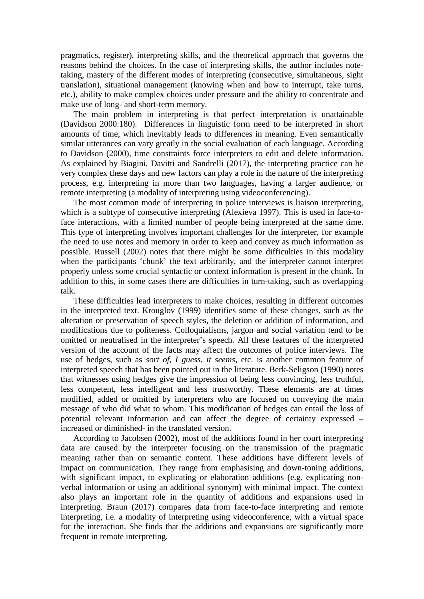pragmatics, register), interpreting skills, and the theoretical approach that governs the reasons behind the choices. In the case of interpreting skills, the author includes notetaking, mastery of the different modes of interpreting (consecutive, simultaneous, sight translation), situational management (knowing when and how to interrupt, take turns, etc.), ability to make complex choices under pressure and the ability to concentrate and make use of long- and short-term memory.

The main problem in interpreting is that perfect interpretation is unattainable (Davidson 2000:180). Differences in linguistic form need to be interpreted in short amounts of time, which inevitably leads to differences in meaning. Even semantically similar utterances can vary greatly in the social evaluation of each language. According to Davidson (2000), time constraints force interpreters to edit and delete information. As explained by Biagini, Davitti and Sandrelli (2017), the interpreting practice can be very complex these days and new factors can play a role in the nature of the interpreting process, e.g. interpreting in more than two languages, having a larger audience, or remote interpreting (a modality of interpreting using videoconferencing).

The most common mode of interpreting in police interviews is liaison interpreting, which is a subtype of consecutive interpreting (Alexieva 1997). This is used in face-toface interactions, with a limited number of people being interpreted at the same time. This type of interpreting involves important challenges for the interpreter, for example the need to use notes and memory in order to keep and convey as much information as possible. Russell (2002) notes that there might be some difficulties in this modality when the participants 'chunk' the text arbitrarily, and the interpreter cannot interpret properly unless some crucial syntactic or context information is present in the chunk. In addition to this, in some cases there are difficulties in turn-taking, such as overlapping talk.

These difficulties lead interpreters to make choices, resulting in different outcomes in the interpreted text. Krouglov (1999) identifies some of these changes, such as the alteration or preservation of speech styles, the deletion or addition of information, and modifications due to politeness. Colloquialisms, jargon and social variation tend to be omitted or neutralised in the interpreter's speech. All these features of the interpreted version of the account of the facts may affect the outcomes of police interviews. The use of hedges, such as *sort of*, *I guess*, *it seems*, etc. is another common feature of interpreted speech that has been pointed out in the literature. Berk-Seligson (1990) notes that witnesses using hedges give the impression of being less convincing, less truthful, less competent, less intelligent and less trustworthy. These elements are at times modified, added or omitted by interpreters who are focused on conveying the main message of who did what to whom. This modification of hedges can entail the loss of potential relevant information and can affect the degree of certainty expressed – increased or diminished- in the translated version.

According to Jacobsen (2002), most of the additions found in her court interpreting data are caused by the interpreter focusing on the transmission of the pragmatic meaning rather than on semantic content. These additions have different levels of impact on communication. They range from emphasising and down-toning additions, with significant impact, to explicating or elaboration additions (e.g. explicating nonverbal information or using an additional synonym) with minimal impact. The context also plays an important role in the quantity of additions and expansions used in interpreting. Braun (2017) compares data from face-to-face interpreting and remote interpreting, i.e. a modality of interpreting using videoconference, with a virtual space for the interaction. She finds that the additions and expansions are significantly more frequent in remote interpreting.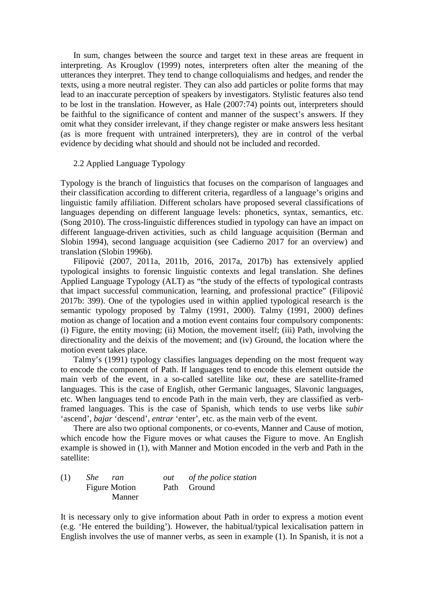In sum, changes between the source and target text in these areas are frequent in interpreting. As Krouglov (1999) notes, interpreters often alter the meaning of the utterances they interpret. They tend to change colloquialisms and hedges, and render the texts, using a more neutral register. They can also add particles or polite forms that may lead to an inaccurate perception of speakers by investigators. Stylistic features also tend to be lost in the translation. However, as Hale (2007:74) points out, interpreters should be faithful to the significance of content and manner of the suspect's answers. If they omit what they consider irrelevant, if they change register or make answers less hesitant (as is more frequent with untrained interpreters), they are in control of the verbal evidence by deciding what should and should not be included and recorded.

#### 2.2 Applied Language Typology

Typology is the branch of linguistics that focuses on the comparison of languages and their classification according to different criteria, regardless of a language's origins and linguistic family affiliation. Different scholars have proposed several classifications of languages depending on different language levels: phonetics, syntax, semantics, etc. (Song 2010). The cross-linguistic differences studied in typology can have an impact on different language-driven activities, such as child language acquisition (Berman and Slobin 1994), second language acquisition (see Cadierno 2017 for an overview) and translation (Slobin 1996b).

Filipović (2007, 2011a, 2011b, 2016, 2017a, 2017b) has extensively applied typological insights to forensic linguistic contexts and legal translation. She defines Applied Language Typology (ALT) as "the study of the effects of typological contrasts that impact successful communication, learning, and professional practice" (Filipović 2017b: 399). One of the typologies used in within applied typological research is the semantic typology proposed by Talmy (1991, 2000). Talmy (1991, 2000) defines motion as change of location and a motion event contains four compulsory components: (i) Figure, the entity moving; (ii) Motion, the movement itself; (iii) Path, involving the directionality and the deixis of the movement; and (iv) Ground, the location where the motion event takes place.

Talmy's (1991) typology classifies languages depending on the most frequent way to encode the component of Path. If languages tend to encode this element outside the main verb of the event, in a so-called satellite like *out*, these are satellite-framed languages. This is the case of English, other Germanic languages, Slavonic languages, etc. When languages tend to encode Path in the main verb, they are classified as verbframed languages. This is the case of Spanish, which tends to use verbs like *subir* 'ascend', *bajar* 'descend', *entrar* 'enter', etc. as the main verb of the event.

There are also two optional components, or co-events, Manner and Cause of motion, which encode how the Figure moves or what causes the Figure to move. An English example is showed in (1), with Manner and Motion encoded in the verb and Path in the satellite:

| (1) | She ran              | out of the police station |
|-----|----------------------|---------------------------|
|     | <b>Figure Motion</b> | Path Ground               |
|     | <b>Manner</b>        |                           |

It is necessary only to give information about Path in order to express a motion event (e.g. 'He entered the building'). However, the habitual/typical lexicalisation pattern in English involves the use of manner verbs, as seen in example (1). In Spanish, it is not a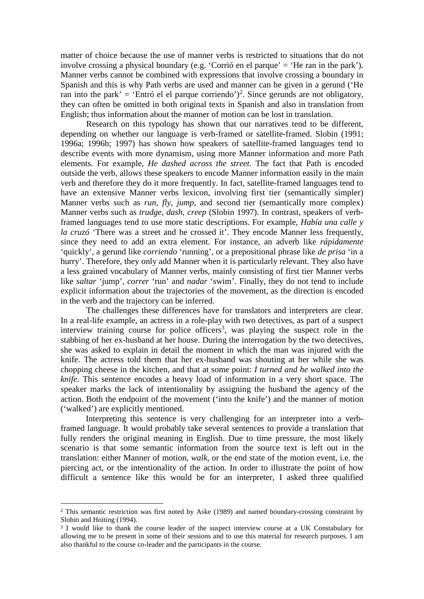matter of choice because the use of manner verbs is restricted to situations that do not involve crossing a physical boundary (e.g. 'Corrió en el parque' = 'He ran in the park'). Manner verbs cannot be combined with expressions that involve crossing a boundary in Spanish and this is why Path verbs are used and manner can be given in a gerund ('He ran into the park' = 'Entró el el parque corriendo')<sup>2</sup>. Since gerunds are not obligatory, they can often be omitted in both original texts in Spanish and also in translation from English; thus information about the manner of motion can be lost in translation.

 Research on this typology has shown that our narratives tend to be different, depending on whether our language is verb-framed or satellite-framed. Slobin (1991; 1996a; 1996b; 1997) has shown how speakers of satellite-framed languages tend to describe events with more dynamism, using more Manner information and more Path elements. For example, *He dashed across the street*. The fact that Path is encoded outside the verb, allows these speakers to encode Manner information easily in the main verb and therefore they do it more frequently. In fact, satellite-framed languages tend to have an extensive Manner verbs lexicon, involving first tier (semantically simpler) Manner verbs such as *run*, *fly*, *jump*, and second tier (semantically more complex) Manner verbs such as *trudge*, *dash*, *creep* (Slobin 1997). In contrast, speakers of verbframed languages tend to use more static descriptions. For example, *Había una calle y la cruzó* 'There was a street and he crossed it'. They encode Manner less frequently, since they need to add an extra element. For instance, an adverb like *rápidamente*  'quickly', a gerund like *corriendo* 'running', or a prepositional phrase like *de prisa* 'in a hurry'. Therefore, they only add Manner when it is particularly relevant. They also have a less grained vocabulary of Manner verbs, mainly consisting of first tier Manner verbs like *saltar* 'jump', *correr* 'run' and *nadar* 'swim'. Finally, they do not tend to include explicit information about the trajectories of the movement, as the direction is encoded in the verb and the trajectory can be inferred.

 The challenges these differences have for translators and interpreters are clear. In a real-life example, an actress in a role-play with two detectives, as part of a suspect interview training course for police officers<sup>3</sup>, was playing the suspect role in the stabbing of her ex-husband at her house. During the interrogation by the two detectives, she was asked to explain in detail the moment in which the man was injured with the knife. The actress told them that her ex-husband was shouting at her while she was chopping cheese in the kitchen, and that at some point: *I turned and he walked into the knife*. This sentence encodes a heavy load of information in a very short space. The speaker marks the lack of intentionality by assigning the husband the agency of the action. Both the endpoint of the movement ('into the knife') and the manner of motion ('walked') are explicitly mentioned.

Interpreting this sentence is very challenging for an interpreter into a verbframed language. It would probably take several sentences to provide a translation that fully renders the original meaning in English. Due to time pressure, the most likely scenario is that some semantic information from the source text is left out in the translation: either Manner of motion, *walk*, or the end state of the motion event, i.e. the piercing act, or the intentionality of the action. In order to illustrate the point of how difficult a sentence like this would be for an interpreter, I asked three qualified

 $\overline{a}$ 

<sup>2</sup> This semantic restriction was first noted by Aske (1989) and named boundary-crossing constraint by Slobin and Hoiting (1994).

<sup>&</sup>lt;sup>3</sup> I would like to thank the course leader of the suspect interview course at a UK Constabulary for allowing me to be present in some of their sessions and to use this material for research purposes. I am also thankful to the course co-leader and the participants in the course.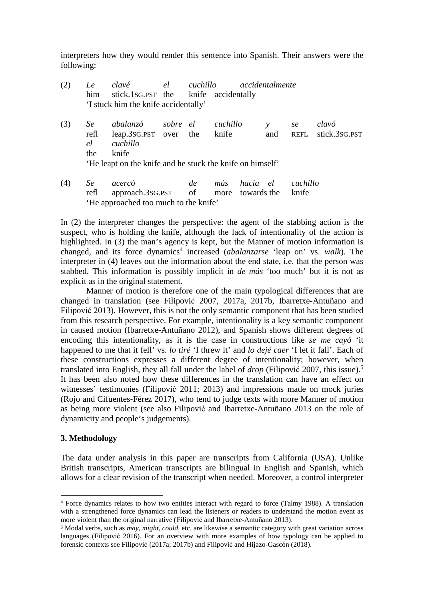interpreters how they would render this sentence into Spanish. Their answers were the following:

|     | Le<br>him               | clavé<br>stick.1sG.PST the<br>'I stuck him the knife accidentally'                                                  | el       | cuchillo | knife accidentally |                         | accidentalmente |                   |                        |
|-----|-------------------------|---------------------------------------------------------------------------------------------------------------------|----------|----------|--------------------|-------------------------|-----------------|-------------------|------------------------|
| (3) | Se<br>refl<br>el<br>the | abalanzó<br>leap.3sG.PST over the<br>cuchillo<br>knife<br>'He leapt on the knife and he stuck the knife on himself' | sobre el |          | cuchillo<br>knife  |                         | y<br>and        | se<br>REFL        | clavó<br>stick.3sg.pst |
| (4) | Se<br>refl              | acercó<br>approach.3sG.PST                                                                                          |          | de<br>of | más<br>more        | hacia el<br>towards the |                 | cuchillo<br>knife |                        |

'He approached too much to the knife'

In (2) the interpreter changes the perspective: the agent of the stabbing action is the suspect, who is holding the knife, although the lack of intentionality of the action is highlighted. In (3) the man's agency is kept, but the Manner of motion information is changed, and its force dynamics<sup>4</sup> increased (*abalanzarse* 'leap on' vs. *walk*). The interpreter in (4) leaves out the information about the end state, i.e. that the person was stabbed. This information is possibly implicit in *de más* 'too much' but it is not as explicit as in the original statement.

 Manner of motion is therefore one of the main typological differences that are changed in translation (see Filipović 2007, 2017a, 2017b, Ibarretxe-Antuñano and Filipović 2013). However, this is not the only semantic component that has been studied from this research perspective. For example, intentionality is a key semantic component in caused motion (Ibarretxe-Antuñano 2012), and Spanish shows different degrees of encoding this intentionality, as it is the case in constructions like *se me cayó* 'it happened to me that it fell' vs. *lo tiré* 'I threw it' and *lo dejé caer* 'I let it fall'. Each of these constructions expresses a different degree of intentionality; however, when translated into English, they all fall under the label of *drop* (Filipović 2007, this issue).<sup>5</sup> It has been also noted how these differences in the translation can have an effect on witnesses' testimonies (Filipović 2011; 2013) and impressions made on mock juries (Rojo and Cifuentes-Férez 2017), who tend to judge texts with more Manner of motion as being more violent (see also Filipović and Ibarretxe-Antuñano 2013 on the role of dynamicity and people's judgements).

# **3. Methodology**

 $\overline{a}$ 

The data under analysis in this paper are transcripts from California (USA). Unlike British transcripts, American transcripts are bilingual in English and Spanish, which allows for a clear revision of the transcript when needed. Moreover, a control interpreter

<sup>4</sup> Force dynamics relates to how two entities interact with regard to force (Talmy 1988). A translation with a strengthened force dynamics can lead the listeners or readers to understand the motion event as more violent than the original narrative (Filipović and Ibarretxe-Antuñano 2013).

<sup>5</sup> Modal verbs, such as *may*, *might*, *could*, etc. are likewise a semantic category with great variation across languages (Filipović 2016). For an overview with more examples of how typology can be applied to forensic contexts see Filipović (2017a; 2017b) and Filipović and Hijazo-Gascón (2018).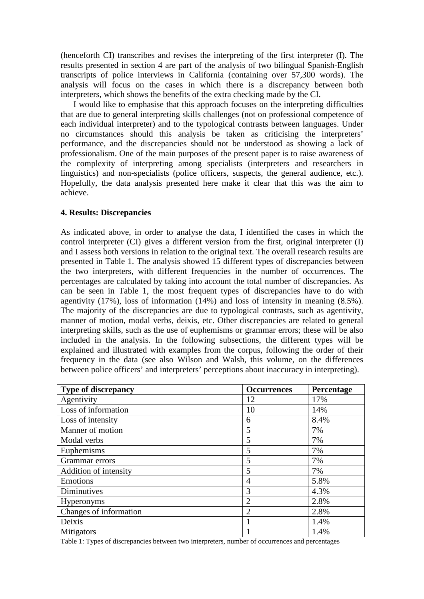(henceforth CI) transcribes and revises the interpreting of the first interpreter (I). The results presented in section 4 are part of the analysis of two bilingual Spanish-English transcripts of police interviews in California (containing over 57,300 words). The analysis will focus on the cases in which there is a discrepancy between both interpreters, which shows the benefits of the extra checking made by the CI.

I would like to emphasise that this approach focuses on the interpreting difficulties that are due to general interpreting skills challenges (not on professional competence of each individual interpreter) and to the typological contrasts between languages. Under no circumstances should this analysis be taken as criticising the interpreters' performance, and the discrepancies should not be understood as showing a lack of professionalism. One of the main purposes of the present paper is to raise awareness of the complexity of interpreting among specialists (interpreters and researchers in linguistics) and non-specialists (police officers, suspects, the general audience, etc.). Hopefully, the data analysis presented here make it clear that this was the aim to achieve.

## **4. Results: Discrepancies**

As indicated above, in order to analyse the data, I identified the cases in which the control interpreter (CI) gives a different version from the first, original interpreter (I) and I assess both versions in relation to the original text. The overall research results are presented in Table 1. The analysis showed 15 different types of discrepancies between the two interpreters, with different frequencies in the number of occurrences. The percentages are calculated by taking into account the total number of discrepancies. As can be seen in Table 1, the most frequent types of discrepancies have to do with agentivity (17%), loss of information (14%) and loss of intensity in meaning (8.5%). The majority of the discrepancies are due to typological contrasts, such as agentivity, manner of motion, modal verbs, deixis, etc. Other discrepancies are related to general interpreting skills, such as the use of euphemisms or grammar errors; these will be also included in the analysis. In the following subsections, the different types will be explained and illustrated with examples from the corpus, following the order of their frequency in the data (see also Wilson and Walsh, this volume, on the differences between police officers' and interpreters' perceptions about inaccuracy in interpreting).

| <b>Type of discrepancy</b> | <b>Occurrences</b> | Percentage |
|----------------------------|--------------------|------------|
| Agentivity                 | 12                 | 17%        |
| Loss of information        | 10                 | 14%        |
| Loss of intensity          | 6                  | 8.4%       |
| Manner of motion           | 5                  | 7%         |
| Modal verbs                | 5                  | 7%         |
| Euphemisms                 | 5                  | 7%         |
| Grammar errors             | 5                  | 7%         |
| Addition of intensity      | 5                  | 7%         |
| Emotions                   | 4                  | 5.8%       |
| Diminutives                | 3                  | 4.3%       |
| Hyperonyms                 | $\overline{2}$     | 2.8%       |
| Changes of information     | $\overline{2}$     | 2.8%       |
| Deixis                     |                    | 1.4%       |
| Mitigators                 |                    | 1.4%       |

Table 1: Types of discrepancies between two interpreters, number of occurrences and percentages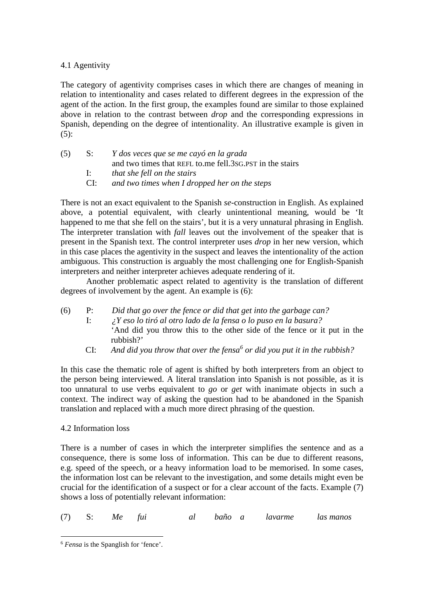# 4.1 Agentivity

The category of agentivity comprises cases in which there are changes of meaning in relation to intentionality and cases related to different degrees in the expression of the agent of the action. In the first group, the examples found are similar to those explained above in relation to the contrast between *drop* and the corresponding expressions in Spanish, depending on the degree of intentionality. An illustrative example is given in  $(5)$ :

| (5) | S:  | Y dos veces que se me cayó en la grada                   |
|-----|-----|----------------------------------------------------------|
|     |     | and two times that REFL to me fell.3sG.PST in the stairs |
|     |     | <i>that she fell on the stairs</i>                       |
|     | CE: | and two times when I dropped her on the steps            |

There is not an exact equivalent to the Spanish *se*-construction in English. As explained above, a potential equivalent, with clearly unintentional meaning, would be 'It happened to me that she fell on the stairs', but it is a very unnatural phrasing in English. The interpreter translation with *fall* leaves out the involvement of the speaker that is present in the Spanish text. The control interpreter uses *drop* in her new version, which in this case places the agentivity in the suspect and leaves the intentionality of the action ambiguous. This construction is arguably the most challenging one for English-Spanish interpreters and neither interpreter achieves adequate rendering of it.

 Another problematic aspect related to agentivity is the translation of different degrees of involvement by the agent. An example is (6):

- (6) P: *Did that go over the fence or did that get into the garbage can?* I: *¿Y eso lo tiró al otro lado de la fensa o lo puso en la basura?* 'And did you throw this to the other side of the fence or it put in the rubbish?'
	- CI: *And did you throw that over the fensa<sup>6</sup> or did you put it in the rubbish?*

In this case the thematic role of agent is shifted by both interpreters from an object to the person being interviewed. A literal translation into Spanish is not possible, as it is too unnatural to use verbs equivalent to *go* or *get* with inanimate objects in such a context. The indirect way of asking the question had to be abandoned in the Spanish translation and replaced with a much more direct phrasing of the question.

# 4.2 Information loss

There is a number of cases in which the interpreter simplifies the sentence and as a consequence, there is some loss of information. This can be due to different reasons, e.g. speed of the speech, or a heavy information load to be memorised. In some cases, the information lost can be relevant to the investigation, and some details might even be crucial for the identification of a suspect or for a clear account of the facts. Example (7) shows a loss of potentially relevant information:

(7) S: *Me fui al baño a lavarme las manos*

 $\overline{a}$ <sup>6</sup> *Fensa* is the Spanglish for 'fence'.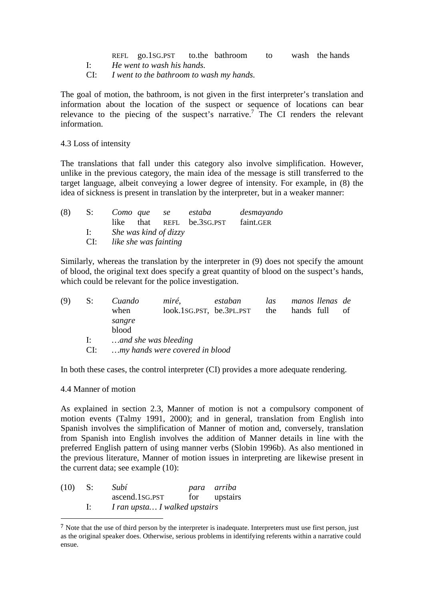REFL go.1SG.PST to.the bathroom to wash the hands I: *He went to wash his hands.*

CI: *I went to the bathroom to wash my hands.*

The goal of motion, the bathroom, is not given in the first interpreter's translation and information about the location of the suspect or sequence of locations can bear relevance to the piecing of the suspect's narrative.<sup>7</sup> The CI renders the relevant information.

4.3 Loss of intensity

The translations that fall under this category also involve simplification. However, unlike in the previous category, the main idea of the message is still transferred to the target language, albeit conveying a lower degree of intensity. For example, in (8) the idea of sickness is present in translation by the interpreter, but in a weaker manner:

| (8) |        |                                                    |  |  | S: Como que se estaba               | desmayando |  |  |  |
|-----|--------|----------------------------------------------------|--|--|-------------------------------------|------------|--|--|--|
|     |        |                                                    |  |  | like that REFL be.3sG.PST faint.GER |            |  |  |  |
|     | di ser | She was kind of dizzy<br>CI: like she was fainting |  |  |                                     |            |  |  |  |
|     |        |                                                    |  |  |                                     |            |  |  |  |

Similarly, whereas the translation by the interpreter in (9) does not specify the amount of blood, the original text does specify a great quantity of blood on the suspect's hands, which could be relevant for the police investigation.

| (9) | $S$ :        | Cuando<br>when       | miré,<br>look.1SG.PST, be.3PL.PST | estaban | las<br>the | manos llenas de<br>hands full | of |
|-----|--------------|----------------------|-----------------------------------|---------|------------|-------------------------------|----|
|     |              | sangre<br>blood      |                                   |         |            |                               |    |
|     | $\mathbf{E}$ | and she was bleeding |                                   |         |            |                               |    |
|     | CI:          |                      | my hands were covered in blood    |         |            |                               |    |

In both these cases, the control interpreter (CI) provides a more adequate rendering.

4.4 Manner of motion

 $\overline{a}$ 

As explained in section 2.3, Manner of motion is not a compulsory component of motion events (Talmy 1991, 2000); and in general, translation from English into Spanish involves the simplification of Manner of motion and, conversely, translation from Spanish into English involves the addition of Manner details in line with the preferred English pattern of using manner verbs (Slobin 1996b). As also mentioned in the previous literature, Manner of motion issues in interpreting are likewise present in the current data; see example (10):

| (10) | - S: | Subí                          | para arriba  |
|------|------|-------------------------------|--------------|
|      |      | ascend.1sg.PST                | for upstairs |
|      | -l:  | I ran upsta I walked upstairs |              |

<sup>&</sup>lt;sup>7</sup> Note that the use of third person by the interpreter is inadequate. Interpreters must use first person, just as the original speaker does. Otherwise, serious problems in identifying referents within a narrative could ensue.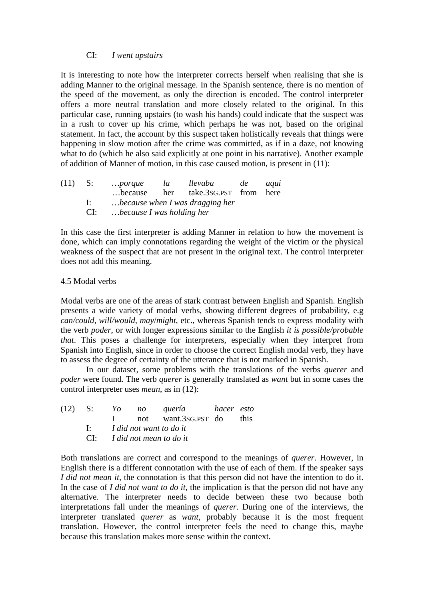# CI: *I went upstairs*

It is interesting to note how the interpreter corrects herself when realising that she is adding Manner to the original message. In the Spanish sentence, there is no mention of the speed of the movement, as only the direction is encoded. The control interpreter offers a more neutral translation and more closely related to the original. In this particular case, running upstairs (to wash his hands) could indicate that the suspect was in a rush to cover up his crime, which perhaps he was not, based on the original statement. In fact, the account by this suspect taken holistically reveals that things were happening in slow motion after the crime was committed, as if in a daze, not knowing what to do (which he also said explicitly at one point in his narrative). Another example of addition of Manner of motion, in this case caused motion, is present in (11):

| $(11)$ S: |              | porque                          | la                        | llevaba de                         |  | aquí |  |  |  |
|-----------|--------------|---------------------------------|---------------------------|------------------------------------|--|------|--|--|--|
|           |              |                                 |                           | because her take.3sG.PST from here |  |      |  |  |  |
|           | $\mathbf{R}$ | because when I was dragging her |                           |                                    |  |      |  |  |  |
|           | CI:          |                                 | because I was holding her |                                    |  |      |  |  |  |

In this case the first interpreter is adding Manner in relation to how the movement is done, which can imply connotations regarding the weight of the victim or the physical weakness of the suspect that are not present in the original text. The control interpreter does not add this meaning.

#### 4.5 Modal verbs

Modal verbs are one of the areas of stark contrast between English and Spanish. English presents a wide variety of modal verbs, showing different degrees of probability, e.g *can/could*, *will/would*, *may*/*might*, etc., whereas Spanish tends to express modality with the verb *poder*, or with longer expressions similar to the English *it is possible/probable that*. This poses a challenge for interpreters, especially when they interpret from Spanish into English, since in order to choose the correct English modal verb, they have to assess the degree of certainty of the utterance that is not marked in Spanish.

 In our dataset, some problems with the translations of the verbs *querer* and *poder* were found. The verb *querer* is generally translated as *want* but in some cases the control interpreter uses *mean*, as in (12):

|  |  | $(12)$ S: Yo no quería hacer esto     |  |  |  |  |
|--|--|---------------------------------------|--|--|--|--|
|  |  | I not want.3sG.PST do this            |  |  |  |  |
|  |  | $\mathbf{I}:$ I did not want to do it |  |  |  |  |
|  |  | CI: I did not mean to do it           |  |  |  |  |
|  |  |                                       |  |  |  |  |

Both translations are correct and correspond to the meanings of *querer*. However, in English there is a different connotation with the use of each of them. If the speaker says *I did not mean it*, the connotation is that this person did not have the intention to do it. In the case of *I did not want to do it*, the implication is that the person did not have any alternative. The interpreter needs to decide between these two because both interpretations fall under the meanings of *querer*. During one of the interviews, the interpreter translated *querer* as *want*, probably because it is the most frequent translation. However, the control interpreter feels the need to change this, maybe because this translation makes more sense within the context.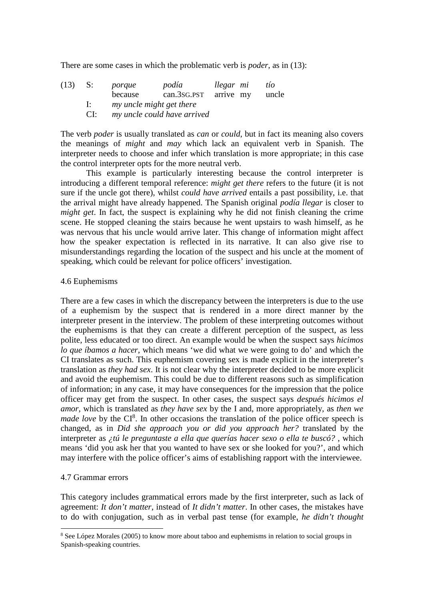There are some cases in which the problematic verb is *poder*, as in (13):

| (13) | - S:         | porque  | podía                       | llegar mi |  | tío   |  |  |
|------|--------------|---------|-----------------------------|-----------|--|-------|--|--|
|      |              | because | can.3sG.PST arrive my       |           |  | uncle |  |  |
|      | $\mathbf{E}$ |         | my uncle might get there    |           |  |       |  |  |
|      | CI:          |         | my uncle could have arrived |           |  |       |  |  |

The verb *poder* is usually translated as *can* or *could*, but in fact its meaning also covers the meanings of *might* and *may* which lack an equivalent verb in Spanish. The interpreter needs to choose and infer which translation is more appropriate; in this case the control interpreter opts for the more neutral verb.

 This example is particularly interesting because the control interpreter is introducing a different temporal reference: *might get there* refers to the future (it is not sure if the uncle got there), whilst *could have arrived* entails a past possibility, i.e. that the arrival might have already happened. The Spanish original *podía llegar* is closer to *might get*. In fact, the suspect is explaining why he did not finish cleaning the crime scene. He stopped cleaning the stairs because he went upstairs to wash himself, as he was nervous that his uncle would arrive later. This change of information might affect how the speaker expectation is reflected in its narrative. It can also give rise to misunderstandings regarding the location of the suspect and his uncle at the moment of speaking, which could be relevant for police officers' investigation.

## 4.6 Euphemisms

There are a few cases in which the discrepancy between the interpreters is due to the use of a euphemism by the suspect that is rendered in a more direct manner by the interpreter present in the interview. The problem of these interpreting outcomes without the euphemisms is that they can create a different perception of the suspect, as less polite, less educated or too direct. An example would be when the suspect says *hicimos lo que íbamos a hacer*, which means 'we did what we were going to do' and which the CI translates as such. This euphemism covering sex is made explicit in the interpreter's translation as *they had sex*. It is not clear why the interpreter decided to be more explicit and avoid the euphemism. This could be due to different reasons such as simplification of information; in any case, it may have consequences for the impression that the police officer may get from the suspect. In other cases, the suspect says *después hicimos el amor*, which is translated as *they have sex* by the I and, more appropriately, as *then we made love* by the CI<sup>8</sup>. In other occasions the translation of the police officer speech is changed, as in *Did she approach you or did you approach her?* translated by the interpreter as *¿tú le preguntaste a ella que querías hacer sexo o ella te buscó?* , which means 'did you ask her that you wanted to have sex or she looked for you?', and which may interfere with the police officer's aims of establishing rapport with the interviewee.

# 4.7 Grammar errors

This category includes grammatical errors made by the first interpreter, such as lack of agreement: *It don't matter*, instead of *It didn't matter*. In other cases, the mistakes have to do with conjugation, such as in verbal past tense (for example, *he didn't thought*

<sup>&</sup>lt;sup>8</sup> See López Morales (2005) to know more about taboo and euphemisms in relation to social groups in Spanish-speaking countries.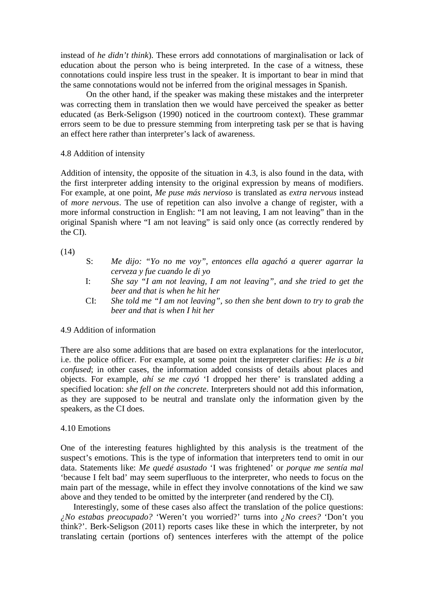instead of *he didn't think*). These errors add connotations of marginalisation or lack of education about the person who is being interpreted. In the case of a witness, these connotations could inspire less trust in the speaker. It is important to bear in mind that the same connotations would not be inferred from the original messages in Spanish.

 On the other hand, if the speaker was making these mistakes and the interpreter was correcting them in translation then we would have perceived the speaker as better educated (as Berk-Seligson (1990) noticed in the courtroom context). These grammar errors seem to be due to pressure stemming from interpreting task per se that is having an effect here rather than interpreter's lack of awareness.

## 4.8 Addition of intensity

Addition of intensity, the opposite of the situation in 4.3, is also found in the data, with the first interpreter adding intensity to the original expression by means of modifiers. For example, at one point, *Me puse más nervioso* is translated as *extra nervous* instead of *more nervous*. The use of repetition can also involve a change of register, with a more informal construction in English: "I am not leaving, I am not leaving" than in the original Spanish where "I am not leaving" is said only once (as correctly rendered by the CI).

(14)

- S: *Me dijo: "Yo no me voy", entonces ella agachó a querer agarrar la cerveza y fue cuando le di yo*
- I: *She say "I am not leaving, I am not leaving", and she tried to get the beer and that is when he hit her*
- CI: *She told me "I am not leaving", so then she bent down to try to grab the beer and that is when I hit her*

# 4.9 Addition of information

There are also some additions that are based on extra explanations for the interlocutor, i.e. the police officer. For example, at some point the interpreter clarifies: *He is a bit confused*; in other cases, the information added consists of details about places and objects. For example, *ahí se me cayó* 'I dropped her there' is translated adding a specified location: *she fell on the concrete*. Interpreters should not add this information, as they are supposed to be neutral and translate only the information given by the speakers, as the CI does.

# 4.10 Emotions

One of the interesting features highlighted by this analysis is the treatment of the suspect's emotions. This is the type of information that interpreters tend to omit in our data. Statements like: *Me quedé asustado* 'I was frightened' or *porque me sentía mal* 'because I felt bad' may seem superfluous to the interpreter, who needs to focus on the main part of the message, while in effect they involve connotations of the kind we saw above and they tended to be omitted by the interpreter (and rendered by the CI).

Interestingly, some of these cases also affect the translation of the police questions: *¿No estabas preocupado?* 'Weren't you worried?' turns into *¿No crees?* 'Don't you think?'. Berk-Seligson (2011) reports cases like these in which the interpreter, by not translating certain (portions of) sentences interferes with the attempt of the police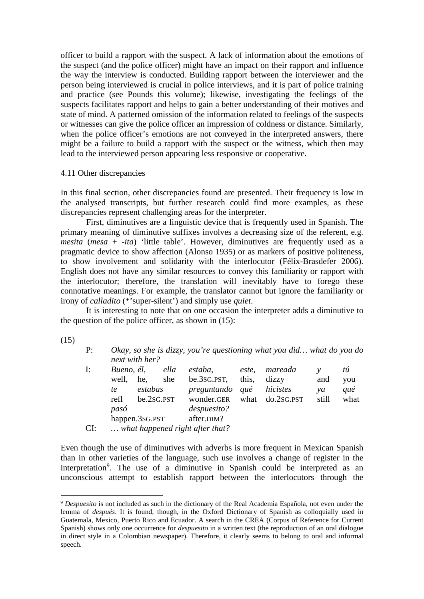officer to build a rapport with the suspect. A lack of information about the emotions of the suspect (and the police officer) might have an impact on their rapport and influence the way the interview is conducted. Building rapport between the interviewer and the person being interviewed is crucial in police interviews, and it is part of police training and practice (see Pounds this volume); likewise, investigating the feelings of the suspects facilitates rapport and helps to gain a better understanding of their motives and state of mind. A patterned omission of the information related to feelings of the suspects or witnesses can give the police officer an impression of coldness or distance. Similarly, when the police officer's emotions are not conveyed in the interpreted answers, there might be a failure to build a rapport with the suspect or the witness, which then may lead to the interviewed person appearing less responsive or cooperative.

## 4.11 Other discrepancies

In this final section, other discrepancies found are presented. Their frequency is low in the analysed transcripts, but further research could find more examples, as these discrepancies represent challenging areas for the interpreter.

 First, diminutives are a linguistic device that is frequently used in Spanish. The primary meaning of diminutive suffixes involves a decreasing size of the referent, e.g. *mesita (mesa + -ita)* 'little table'. However, diminutives are frequently used as a pragmatic device to show affection (Alonso 1935) or as markers of positive politeness, to show involvement and solidarity with the interlocutor (Félix-Brasdefer 2006). English does not have any similar resources to convey this familiarity or rapport with the interlocutor; therefore, the translation will inevitably have to forego these connotative meanings. For example, the translator cannot but ignore the familiarity or irony of *calladito* (\*'super-silent') and simply use *quiet*.

It is interesting to note that on one occasion the interpreter adds a diminutive to the question of the police officer, as shown in (15):

(15)

 $\overline{a}$ 

| Okay, so she is dizzy, you're questioning what you did what do you do |
|-----------------------------------------------------------------------|
| next with her?                                                        |

| I:  | Bueno, él, |                | ella | estaba,                         | este, | mareada         |       | tú   |
|-----|------------|----------------|------|---------------------------------|-------|-----------------|-------|------|
|     | well,      | he.            | she  | be.3sg.pst,                     | this, | dizzy           | and   | you  |
|     | te         | estabas        |      | preguntando qué                 |       | hicistes        | va    | qué  |
|     | refl       | be.2sg.PST     |      | wonder.GER                      |       | what do.2sG.PST | still | what |
|     | pasó       |                |      | despuesito?                     |       |                 |       |      |
|     |            | happen.3sG.PST |      | after.DIM?                      |       |                 |       |      |
| CI: |            |                |      | what happened right after that? |       |                 |       |      |

Even though the use of diminutives with adverbs is more frequent in Mexican Spanish than in other varieties of the language, such use involves a change of register in the interpretation<sup>9</sup>. The use of a diminutive in Spanish could be interpreted as an unconscious attempt to establish rapport between the interlocutors through the

<sup>9</sup> *Despuesito* is not included as such in the dictionary of the Real Academia Española, not even under the lemma of *después*. It is found, though, in the Oxford Dictionary of Spanish as colloquially used in Guatemala, Mexico, Puerto Rico and Ecuador. A search in the CREA (Corpus of Reference for Current Spanish) shows only one occurrence for *despuesito* in a written text (the reproduction of an oral dialogue in direct style in a Colombian newspaper). Therefore, it clearly seems to belong to oral and informal speech.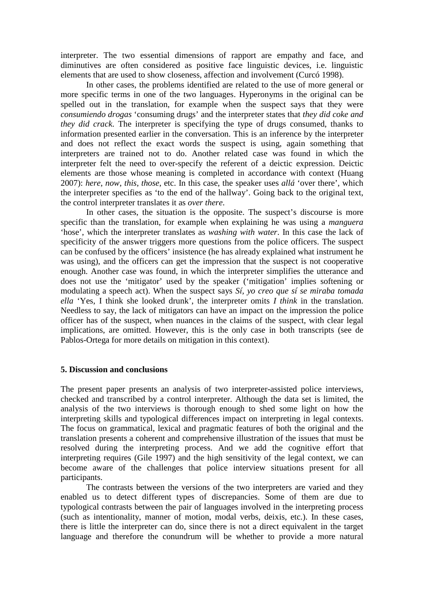interpreter. The two essential dimensions of rapport are empathy and face, and diminutives are often considered as positive face linguistic devices, i.e. linguistic elements that are used to show closeness, affection and involvement (Curcó 1998).

 In other cases, the problems identified are related to the use of more general or more specific terms in one of the two languages. Hyperonyms in the original can be spelled out in the translation, for example when the suspect says that they were *consumiendo drogas* 'consuming drugs' and the interpreter states that *they did coke and they did crack*. The interpreter is specifying the type of drugs consumed, thanks to information presented earlier in the conversation. This is an inference by the interpreter and does not reflect the exact words the suspect is using, again something that interpreters are trained not to do. Another related case was found in which the interpreter felt the need to over-specify the referent of a deictic expression. Deictic elements are those whose meaning is completed in accordance with context (Huang 2007): *here*, *now*, *this*, *those*, etc. In this case, the speaker uses *allá* 'over there', which the interpreter specifies as 'to the end of the hallway'. Going back to the original text, the control interpreter translates it as *over there*.

 In other cases, the situation is the opposite. The suspect's discourse is more specific than the translation, for example when explaining he was using a *manguera* 'hose', which the interpreter translates as *washing with water*. In this case the lack of specificity of the answer triggers more questions from the police officers. The suspect can be confused by the officers' insistence (he has already explained what instrument he was using), and the officers can get the impression that the suspect is not cooperative enough. Another case was found, in which the interpreter simplifies the utterance and does not use the 'mitigator' used by the speaker ('mitigation' implies softening or modulating a speech act). When the suspect says *Sí, yo creo que sí se miraba tomada ella* 'Yes, I think she looked drunk', the interpreter omits *I think* in the translation. Needless to say, the lack of mitigators can have an impact on the impression the police officer has of the suspect, when nuances in the claims of the suspect, with clear legal implications, are omitted. However, this is the only case in both transcripts (see de Pablos-Ortega for more details on mitigation in this context).

#### **5. Discussion and conclusions**

The present paper presents an analysis of two interpreter-assisted police interviews, checked and transcribed by a control interpreter. Although the data set is limited, the analysis of the two interviews is thorough enough to shed some light on how the interpreting skills and typological differences impact on interpreting in legal contexts. The focus on grammatical, lexical and pragmatic features of both the original and the translation presents a coherent and comprehensive illustration of the issues that must be resolved during the interpreting process. And we add the cognitive effort that interpreting requires (Gile 1997) and the high sensitivity of the legal context, we can become aware of the challenges that police interview situations present for all participants.

 The contrasts between the versions of the two interpreters are varied and they enabled us to detect different types of discrepancies. Some of them are due to typological contrasts between the pair of languages involved in the interpreting process (such as intentionality, manner of motion, modal verbs, deixis, etc.). In these cases, there is little the interpreter can do, since there is not a direct equivalent in the target language and therefore the conundrum will be whether to provide a more natural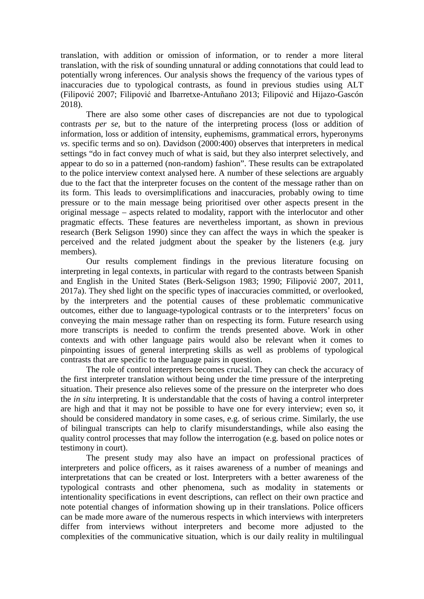translation, with addition or omission of information, or to render a more literal translation, with the risk of sounding unnatural or adding connotations that could lead to potentially wrong inferences. Our analysis shows the frequency of the various types of inaccuracies due to typological contrasts, as found in previous studies using ALT (Filipović 2007; Filipović and Ibarretxe-Antuñano 2013; Filipović and Hijazo-Gascón 2018).

 There are also some other cases of discrepancies are not due to typological contrasts *per se*, but to the nature of the interpreting process (loss or addition of information, loss or addition of intensity, euphemisms, grammatical errors, hyperonyms *vs*. specific terms and so on). Davidson (2000:400) observes that interpreters in medical settings "do in fact convey much of what is said, but they also interpret selectively, and appear to do so in a patterned (non-random) fashion". These results can be extrapolated to the police interview context analysed here. A number of these selections are arguably due to the fact that the interpreter focuses on the content of the message rather than on its form. This leads to oversimplifications and inaccuracies, probably owing to time pressure or to the main message being prioritised over other aspects present in the original message – aspects related to modality, rapport with the interlocutor and other pragmatic effects. These features are nevertheless important, as shown in previous research (Berk Seligson 1990) since they can affect the ways in which the speaker is perceived and the related judgment about the speaker by the listeners (e.g. jury members).

 Our results complement findings in the previous literature focusing on interpreting in legal contexts, in particular with regard to the contrasts between Spanish and English in the United States (Berk-Seligson 1983; 1990; Filipović 2007, 2011, 2017a). They shed light on the specific types of inaccuracies committed, or overlooked, by the interpreters and the potential causes of these problematic communicative outcomes, either due to language-typological contrasts or to the interpreters' focus on conveying the main message rather than on respecting its form. Future research using more transcripts is needed to confirm the trends presented above. Work in other contexts and with other language pairs would also be relevant when it comes to pinpointing issues of general interpreting skills as well as problems of typological contrasts that are specific to the language pairs in question.

 The role of control interpreters becomes crucial. They can check the accuracy of the first interpreter translation without being under the time pressure of the interpreting situation. Their presence also relieves some of the pressure on the interpreter who does the *in situ* interpreting. It is understandable that the costs of having a control interpreter are high and that it may not be possible to have one for every interview; even so, it should be considered mandatory in some cases, e.g. of serious crime. Similarly, the use of bilingual transcripts can help to clarify misunderstandings, while also easing the quality control processes that may follow the interrogation (e.g. based on police notes or testimony in court).

The present study may also have an impact on professional practices of interpreters and police officers, as it raises awareness of a number of meanings and interpretations that can be created or lost. Interpreters with a better awareness of the typological contrasts and other phenomena, such as modality in statements or intentionality specifications in event descriptions, can reflect on their own practice and note potential changes of information showing up in their translations. Police officers can be made more aware of the numerous respects in which interviews with interpreters differ from interviews without interpreters and become more adjusted to the complexities of the communicative situation, which is our daily reality in multilingual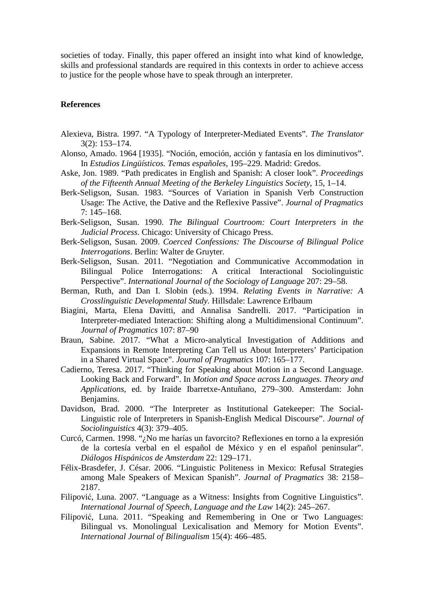societies of today. Finally, this paper offered an insight into what kind of knowledge, skills and professional standards are required in this contexts in order to achieve access to justice for the people whose have to speak through an interpreter.

# **References**

- Alexieva, Bistra. 1997. "A Typology of Interpreter-Mediated Events". *The Translator* 3(2): 153–174.
- Alonso, Amado. 1964 [1935]. "Noción, emoción, acción y fantasía en los diminutivos". In *Estudios Lingüísticos. Temas españoles*, 195–229. Madrid: Gredos.
- Aske, Jon. 1989. "Path predicates in English and Spanish: A closer look". *Proceedings of the Fifteenth Annual Meeting of the Berkeley Linguistics Society*, 15, 1–14.
- Berk-Seligson, Susan. 1983. "Sources of Variation in Spanish Verb Construction Usage: The Active, the Dative and the Reflexive Passive". *Journal of Pragmatics* 7: 145–168.
- Berk-Seligson, Susan. 1990. *The Bilingual Courtroom: Court Interpreters in the Judicial Process*. Chicago: University of Chicago Press.
- Berk-Seligson, Susan. 2009. *Coerced Confessions: The Discourse of Bilingual Police Interrogations*. Berlin: Walter de Gruyter.
- Berk-Seligson, Susan. 2011. "Negotiation and Communicative Accommodation in Bilingual Police Interrogations: A critical Interactional Sociolinguistic Perspective". *International Journal of the Sociology of Language* 207: 29–58.
- Berman, Ruth, and Dan I. Slobin (eds.). 1994. *Relating Events in Narrative: A Crosslinguistic Developmental Study.* Hillsdale: Lawrence Erlbaum
- Biagini, Marta, Elena Davitti, and Annalisa Sandrelli. 2017. "Participation in Interpreter-mediated Interaction: Shifting along a Multidimensional Continuum". *Journal of Pragmatics* 107: 87–90
- Braun, Sabine. 2017. "What a Micro-analytical Investigation of Additions and Expansions in Remote Interpreting Can Tell us About Interpreters' Participation in a Shared Virtual Space". *Journal of Pragmatics* 107: 165–177.
- Cadierno, Teresa. 2017. "Thinking for Speaking about Motion in a Second Language. Looking Back and Forward". In *Motion and Space across Languages. Theory and Applications*, ed. by Iraide Ibarretxe-Antuñano, 279–300. Amsterdam: John Benjamins.
- Davidson, Brad. 2000. "The Interpreter as Institutional Gatekeeper: The Social-Linguistic role of Interpreters in Spanish-English Medical Discourse". *Journal of Sociolinguistics* 4(3): 379–405.
- Curcó, Carmen. 1998. "¿No me harías un favorcito? Reflexiones en torno a la expresión de la cortesía verbal en el español de México y en el español peninsular". *Diálogos Hispánicos de Amsterdam* 22: 129–171.
- Félix-Brasdefer, J. César. 2006. "Linguistic Politeness in Mexico: Refusal Strategies among Male Speakers of Mexican Spanish". *Journal of Pragmatics* 38: 2158– 2187.
- Filipović, Luna. 2007. "Language as a Witness: Insights from Cognitive Linguistics". *International Journal of Speech, Language and the Law* 14(2): 245–267.
- Filipović, Luna. 2011. "Speaking and Remembering in One or Two Languages: Bilingual vs. Monolingual Lexicalisation and Memory for Motion Events". *International Journal of Bilingualism* 15(4): 466–485.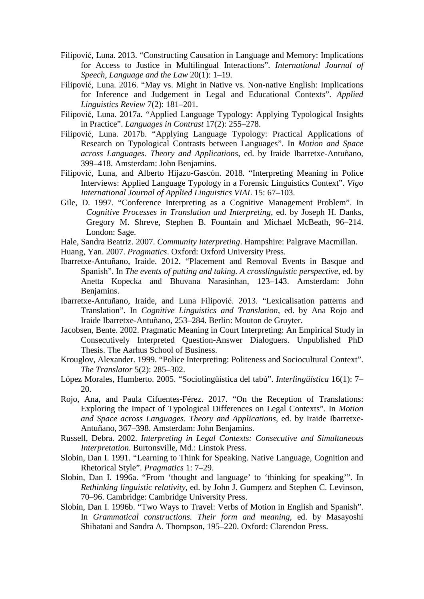- Filipović, Luna. 2013. "Constructing Causation in Language and Memory: Implications for Access to Justice in Multilingual Interactions". *International Journal of Speech, Language and the Law* 20(1): 1–19.
- Filipović, Luna. 2016. "May vs. Might in Native vs. Non-native English: Implications for Inference and Judgement in Legal and Educational Contexts". *Applied Linguistics Review* 7(2): 181–201.
- Filipović, Luna. 2017a. "Applied Language Typology: Applying Typological Insights in Practice". *Languages in Contrast* 17(2): 255–278.
- Filipović, Luna. 2017b. "Applying Language Typology: Practical Applications of Research on Typological Contrasts between Languages". In *Motion and Space across Languages. Theory and Applications*, ed. by Iraide Ibarretxe-Antuñano, 399–418. Amsterdam: John Benjamins.
- Filipović, Luna, and Alberto Hijazo-Gascón. 2018. "Interpreting Meaning in Police Interviews: Applied Language Typology in a Forensic Linguistics Context". *Vigo International Journal of Applied Linguistics VIAL* 15: 67–103.
- Gile, D. 1997. "Conference Interpreting as a Cognitive Management Problem". In *Cognitive Processes in Translation and Interpreting*, ed. by Joseph H. Danks, Gregory M. Shreve, Stephen B. Fountain and Michael McBeath, 96–214. London: Sage.
- Hale, Sandra Beatriz. 2007. *Community Interpreting*. Hampshire: Palgrave Macmillan.
- Huang, Yan. 2007. *Pragmatics*. Oxford: Oxford University Press.
- Ibarretxe-Antuñano, Iraide. 2012. "Placement and Removal Events in Basque and Spanish". In *The events of putting and taking. A crosslinguistic perspective*, ed. by Anetta Kopecka and Bhuvana Narasinhan, 123–143. Amsterdam: John Benjamins.
- Ibarretxe-Antuñano, Iraide, and Luna Filipović. 2013. "Lexicalisation patterns and Translation". In *Cognitive Linguistics and Translation*, ed. by Ana Rojo and Iraide Ibarretxe-Antuñano, 253–284. Berlin: Mouton de Gruyter.
- Jacobsen, Bente. 2002. Pragmatic Meaning in Court Interpreting: An Empirical Study in Consecutively Interpreted Question-Answer Dialoguers. Unpublished PhD Thesis. The Aarhus School of Business.
- Krouglov, Alexander. 1999. "Police Interpreting: Politeness and Sociocultural Context". *The Translator* 5(2): 285–302.
- López Morales, Humberto. 2005. "Sociolingüística del tabú". *Interlingüística* 16(1): 7– 20.
- Rojo, Ana, and Paula Cifuentes-Férez. 2017. "On the Reception of Translations: Exploring the Impact of Typological Differences on Legal Contexts". In *Motion and Space across Languages. Theory and Applications*, ed. by Iraide Ibarretxe-Antuñano, 367–398. Amsterdam: John Benjamins.
- Russell, Debra. 2002. *Interpreting in Legal Contexts: Consecutive and Simultaneous Interpretation*. Burtonsville, Md.: Linstok Press.
- Slobin, Dan I. 1991. "Learning to Think for Speaking. Native Language, Cognition and Rhetorical Style". *Pragmatics* 1: 7–29.
- Slobin, Dan I. 1996a. "From 'thought and language' to 'thinking for speaking'". In *Rethinking linguistic relativity*, ed. by John J. Gumperz and Stephen C. Levinson, 70–96. Cambridge: Cambridge University Press.
- Slobin, Dan I. 1996b. "Two Ways to Travel: Verbs of Motion in English and Spanish". In *Grammatical constructions. Their form and meaning*, ed. by Masayoshi Shibatani and Sandra A. Thompson, 195–220. Oxford: Clarendon Press.